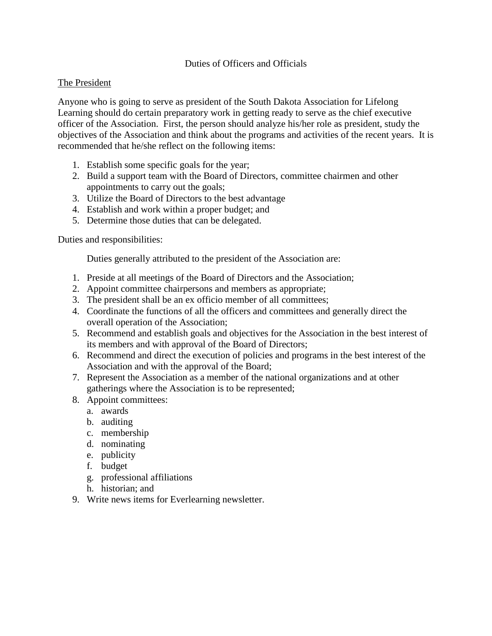## Duties of Officers and Officials

### The President

Anyone who is going to serve as president of the South Dakota Association for Lifelong Learning should do certain preparatory work in getting ready to serve as the chief executive officer of the Association. First, the person should analyze his/her role as president, study the objectives of the Association and think about the programs and activities of the recent years. It is recommended that he/she reflect on the following items:

- 1. Establish some specific goals for the year;
- 2. Build a support team with the Board of Directors, committee chairmen and other appointments to carry out the goals;
- 3. Utilize the Board of Directors to the best advantage
- 4. Establish and work within a proper budget; and
- 5. Determine those duties that can be delegated.

#### Duties and responsibilities:

Duties generally attributed to the president of the Association are:

- 1. Preside at all meetings of the Board of Directors and the Association;
- 2. Appoint committee chairpersons and members as appropriate;
- 3. The president shall be an ex officio member of all committees;
- 4. Coordinate the functions of all the officers and committees and generally direct the overall operation of the Association;
- 5. Recommend and establish goals and objectives for the Association in the best interest of its members and with approval of the Board of Directors;
- 6. Recommend and direct the execution of policies and programs in the best interest of the Association and with the approval of the Board;
- 7. Represent the Association as a member of the national organizations and at other gatherings where the Association is to be represented;
- 8. Appoint committees:
	- a. awards
	- b. auditing
	- c. membership
	- d. nominating
	- e. publicity
	- f. budget
	- g. professional affiliations
	- h. historian; and
- 9. Write news items for Everlearning newsletter.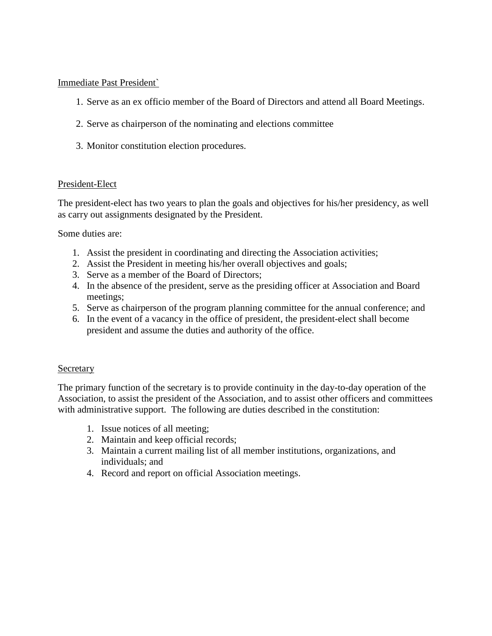## Immediate Past President`

- 1. Serve as an ex officio member of the Board of Directors and attend all Board Meetings.
- 2. Serve as chairperson of the nominating and elections committee
- 3. Monitor constitution election procedures.

# President-Elect

The president-elect has two years to plan the goals and objectives for his/her presidency, as well as carry out assignments designated by the President.

Some duties are:

- 1. Assist the president in coordinating and directing the Association activities;
- 2. Assist the President in meeting his/her overall objectives and goals;
- 3. Serve as a member of the Board of Directors;
- 4. In the absence of the president, serve as the presiding officer at Association and Board meetings;
- 5. Serve as chairperson of the program planning committee for the annual conference; and
- 6. In the event of a vacancy in the office of president, the president-elect shall become president and assume the duties and authority of the office.

# Secretary

The primary function of the secretary is to provide continuity in the day-to-day operation of the Association, to assist the president of the Association, and to assist other officers and committees with administrative support. The following are duties described in the constitution:

- 1. Issue notices of all meeting;
- 2. Maintain and keep official records;
- 3. Maintain a current mailing list of all member institutions, organizations, and individuals; and
- 4. Record and report on official Association meetings.